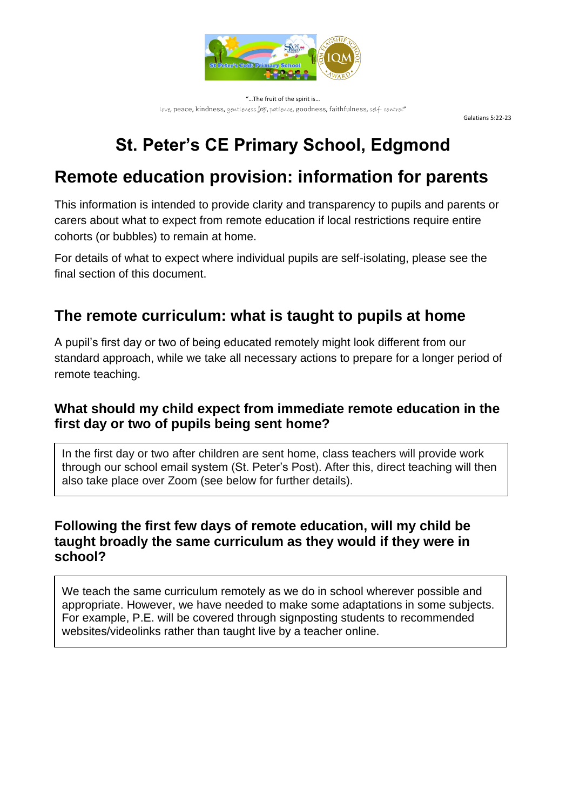

"…The fruit of the spirit is… love, peace, kindness, gentleness joy, patience, goodness, faithfulness, self- control"

Galatians 5:22-23

# **St. Peter's CE Primary School, Edgmond**

# **Remote education provision: information for parents**

This information is intended to provide clarity and transparency to pupils and parents or carers about what to expect from remote education if local restrictions require entire cohorts (or bubbles) to remain at home.

For details of what to expect where individual pupils are self-isolating, please see the final section of this document.

### **The remote curriculum: what is taught to pupils at home**

A pupil's first day or two of being educated remotely might look different from our standard approach, while we take all necessary actions to prepare for a longer period of remote teaching.

#### **What should my child expect from immediate remote education in the first day or two of pupils being sent home?**

In the first day or two after children are sent home, class teachers will provide work through our school email system (St. Peter's Post). After this, direct teaching will then also take place over Zoom (see below for further details).

#### **Following the first few days of remote education, will my child be taught broadly the same curriculum as they would if they were in school?**

We teach the same curriculum remotely as we do in school wherever possible and appropriate. However, we have needed to make some adaptations in some subjects. For example, P.E. will be covered through signposting students to recommended websites/videolinks rather than taught live by a teacher online.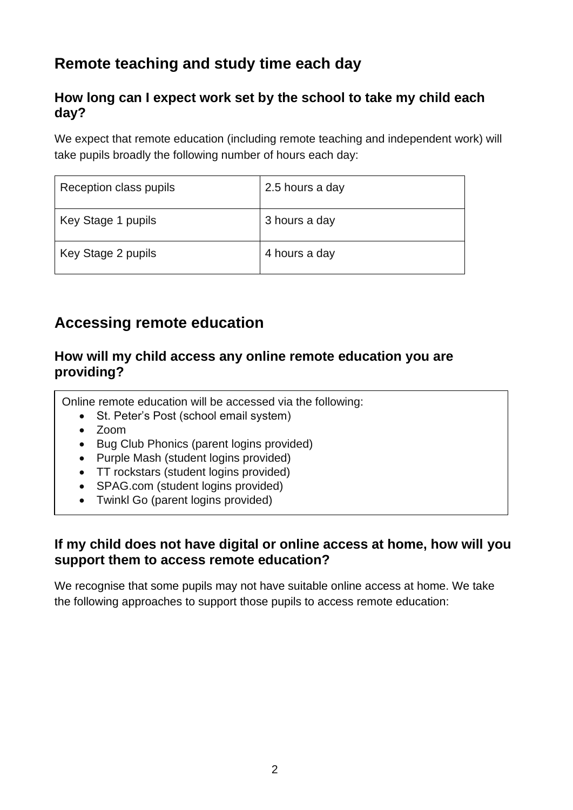## **Remote teaching and study time each day**

#### **How long can I expect work set by the school to take my child each day?**

We expect that remote education (including remote teaching and independent work) will take pupils broadly the following number of hours each day:

| Reception class pupils | 2.5 hours a day |
|------------------------|-----------------|
| Key Stage 1 pupils     | 3 hours a day   |
| Key Stage 2 pupils     | 4 hours a day   |

### **Accessing remote education**

#### **How will my child access any online remote education you are providing?**

Online remote education will be accessed via the following:

- St. Peter's Post (school email system)
- Zoom
- Bug Club Phonics (parent logins provided)
- Purple Mash (student logins provided)
- TT rockstars (student logins provided)
- SPAG.com (student logins provided)
- Twinkl Go (parent logins provided)

#### **If my child does not have digital or online access at home, how will you support them to access remote education?**

We recognise that some pupils may not have suitable online access at home. We take the following approaches to support those pupils to access remote education: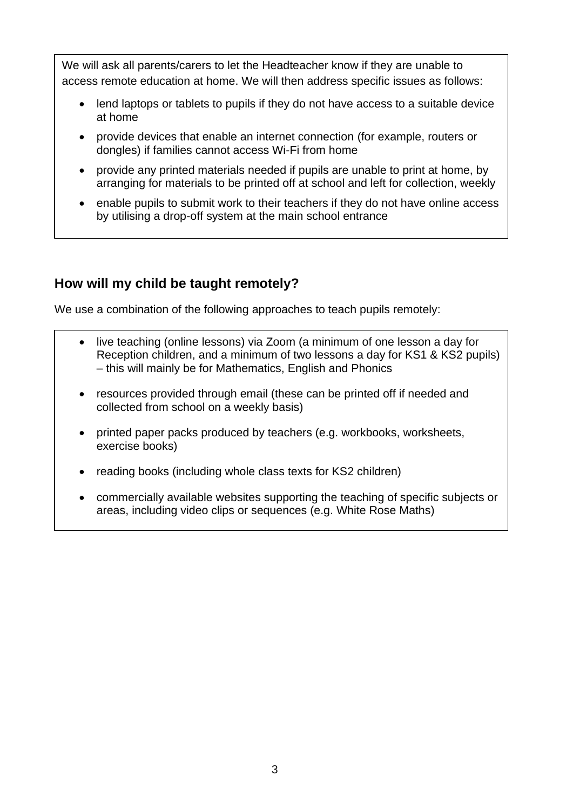We will ask all parents/carers to let the Headteacher know if they are unable to access remote education at home. We will then address specific issues as follows:

- lend laptops or tablets to pupils if they do not have access to a suitable device at home
- provide devices that enable an internet connection (for example, routers or dongles) if families cannot access Wi-Fi from home
- provide any printed materials needed if pupils are unable to print at home, by arranging for materials to be printed off at school and left for collection, weekly
- enable pupils to submit work to their teachers if they do not have online access by utilising a drop-off system at the main school entrance

#### **How will my child be taught remotely?**

We use a combination of the following approaches to teach pupils remotely:

- live teaching (online lessons) via Zoom (a minimum of one lesson a day for Reception children, and a minimum of two lessons a day for KS1 & KS2 pupils) – this will mainly be for Mathematics, English and Phonics
- resources provided through email (these can be printed off if needed and collected from school on a weekly basis)
- printed paper packs produced by teachers (e.g. workbooks, worksheets, exercise books)
- reading books (including whole class texts for KS2 children)
- commercially available websites supporting the teaching of specific subjects or areas, including video clips or sequences (e.g. White Rose Maths)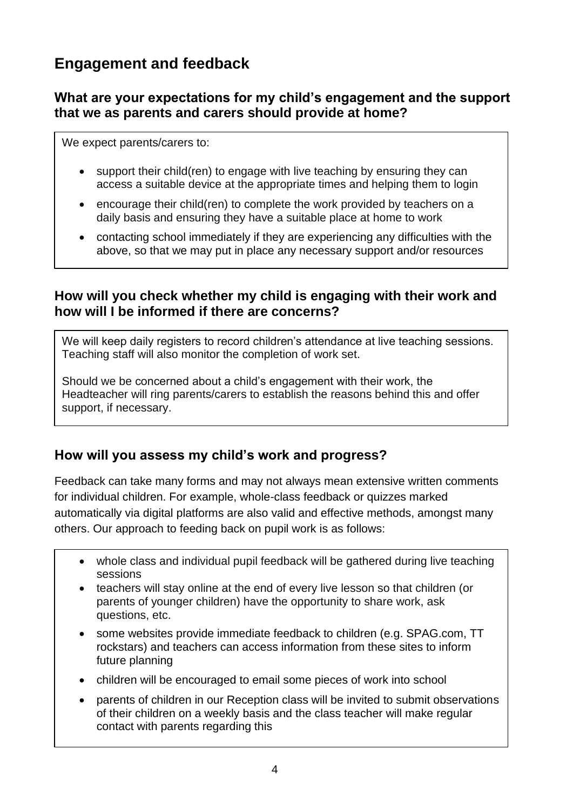## **Engagement and feedback**

#### **What are your expectations for my child's engagement and the support that we as parents and carers should provide at home?**

We expect parents/carers to:

- support their child(ren) to engage with live teaching by ensuring they can access a suitable device at the appropriate times and helping them to login
- encourage their child(ren) to complete the work provided by teachers on a daily basis and ensuring they have a suitable place at home to work
- contacting school immediately if they are experiencing any difficulties with the above, so that we may put in place any necessary support and/or resources

#### **How will you check whether my child is engaging with their work and how will I be informed if there are concerns?**

We will keep daily registers to record children's attendance at live teaching sessions. Teaching staff will also monitor the completion of work set.

Should we be concerned about a child's engagement with their work, the Headteacher will ring parents/carers to establish the reasons behind this and offer support, if necessary.

#### **How will you assess my child's work and progress?**

Feedback can take many forms and may not always mean extensive written comments for individual children. For example, whole-class feedback or quizzes marked automatically via digital platforms are also valid and effective methods, amongst many others. Our approach to feeding back on pupil work is as follows:

- whole class and individual pupil feedback will be gathered during live teaching sessions
- teachers will stay online at the end of every live lesson so that children (or parents of younger children) have the opportunity to share work, ask questions, etc.
- some websites provide immediate feedback to children (e.g. SPAG.com, TT rockstars) and teachers can access information from these sites to inform future planning
- children will be encouraged to email some pieces of work into school
- parents of children in our Reception class will be invited to submit observations of their children on a weekly basis and the class teacher will make regular contact with parents regarding this